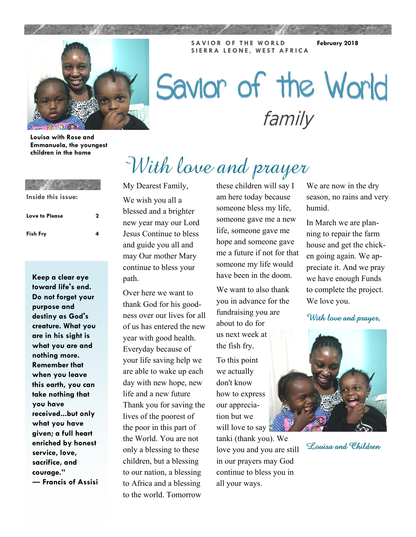**SAVIOR OF THE WORLD SIERRA LEONE, WEST AFRICA** 

**February 2018** 



# Savior of the World family

**Louisa with Rose and Emmanuela, the youngest children in the home** 

| Inside this issue: |   |
|--------------------|---|
| Love to Please     | 2 |
| <b>Fish Fry</b>    | 4 |

**Keep a clear eye toward life's end. Do not forget your purpose and destiny as God's creature. What you are in his sight is what you are and nothing more. Remember that when you leave this earth, you can take nothing that you have received...but only what you have given; a full heart enriched by honest service, love, sacrifice, and courage." ― Francis of Assisi**  My Dearest Family,

We wish you all a blessed and a brighter new year may our Lord Jesus Continue to bless and guide you all and may Our mother Mary continue to bless your path.

Over here we want to thank God for his goodness over our lives for all of us has entered the new year with good health. Everyday because of your life saving help we are able to wake up each day with new hope, new life and a new future Thank you for saving the lives of the poorest of the poor in this part of the World. You are not only a blessing to these children, but a blessing to our nation, a blessing to Africa and a blessing to the world. Tomorrow

these children will say I am here today because someone bless my life, someone gave me a new life, someone gave me hope and someone gave me a future if not for that someone my life would have been in the doom.

With lave and prayer

We want to also thank you in advance for the fundraising you are about to do for us next week at the fish fry.

To this point we actually don't know how to express our appreciation but we will love to say

tanki (thank you). We love you and you are still in our prayers may God continue to bless you in all your ways.

We are now in the dry season, no rains and very humid.

In March we are planning to repair the farm house and get the chicken going again. We appreciate it. And we pray we have enough Funds to complete the project. We love you.

With love and prayer,



Louisa and Children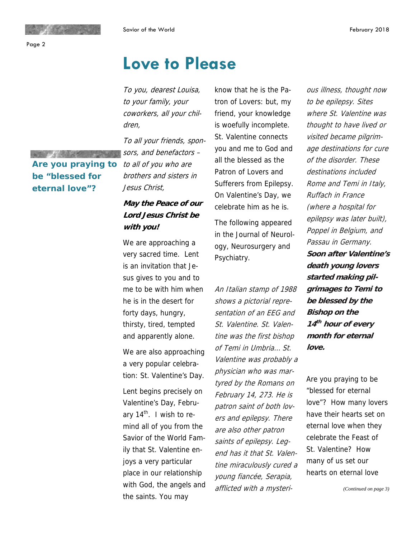**Are you praying to** 

**be "blessed for eternal love"?** 

**OFFICIARISM** 

## **Love to Please**

To you, dearest Louisa, to your family, your coworkers, all your children,

To all your friends, sponsors, and benefactors – to all of you who are brothers and sisters in Jesus Christ,

#### **May the Peace of our Lord Jesus Christ be with you!**

We are approaching a very sacred time. Lent is an invitation that Jesus gives to you and to me to be with him when he is in the desert for forty days, hungry, thirsty, tired, tempted and apparently alone.

We are also approaching a very popular celebration: St. Valentine's Day.

Lent begins precisely on Valentine's Day, February  $14<sup>th</sup>$ . I wish to remind all of you from the Savior of the World Family that St. Valentine enjoys a very particular place in our relationship with God, the angels and the saints. You may

know that he is the Patron of Lovers: but, my friend, your knowledge is woefully incomplete. St. Valentine connects you and me to God and all the blessed as the Patron of Lovers and Sufferers from Epilepsy. On Valentine's Day, we celebrate him as he is.

The following appeared in the Journal of Neurology, Neurosurgery and Psychiatry.

An Italian stamp of 1988 shows a pictorial representation of an EEG and St. Valentine. St. Valentine was the first bishop of Temi in Umbria… St. Valentine was probably a physician who was martyred by the Romans on February 14, 273. He is patron saint of both lovers and epilepsy. There are also other patron saints of epilepsy. Legend has it that St. Valentine miraculously cured a young fiancée, Serapia, afflicted with a mysterious illness, thought now to be epilepsy. Sites where St. Valentine was thought to have lived or visited became pilgrimage destinations for cure of the disorder. These destinations included Rome and Temi in Italy, Ruffach in France (where a hospital for epilepsy was later built), Poppel in Belgium, and Passau in Germany. **Soon after Valentine's death young lovers started making pilgrimages to Temi to be blessed by the Bishop on the <sup>14</sup>th hour of every month for eternal love.** 

Are you praying to be "blessed for eternal love"? How many lovers have their hearts set on eternal love when they celebrate the Feast of St. Valentine? How many of us set our hearts on eternal love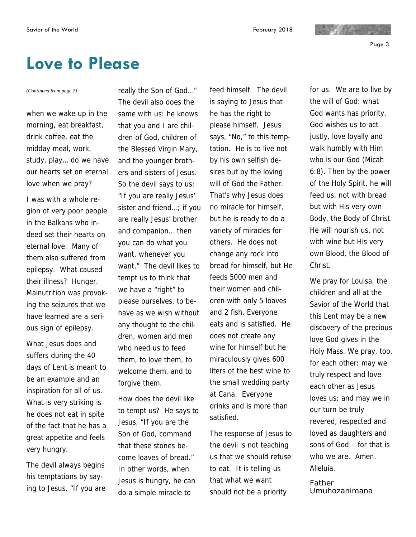Page 3

## **Love to Please**

when we wake up in the morning, eat breakfast, drink coffee, eat the midday meal, work, study, play… do we have our hearts set on eternal love when we pray?

I was with a whole region of very poor people in the Balkans who indeed set their hearts on eternal love. Many of them also suffered from epilepsy. What caused their illness? Hunger. Malnutrition was provoking the seizures that we have learned are a serious sign of epilepsy.

What Jesus does and suffers during the 40 days of Lent is meant to be an example and an inspiration for all of us. What is very striking is he does not eat in spite of the fact that he has a great appetite and feels very hungry.

The devil always begins his temptations by saying to Jesus, "If you are

*(Continued from page 2)* really the Son of God…" The devil also does the same with us: he knows that you and I are children of God, children of the Blessed Virgin Mary, and the younger brothers and sisters of Jesus. So the devil says to us: "If you are really Jesus' sister and friend...; if you are really Jesus' brother and companion… then you can do what you want, whenever you want." The devil likes to tempt us to think that we have a "right" to please ourselves, to behave as we wish without any thought to the children, women and men who need us to feed them, to love them, to welcome them, and to forgive them.

> How does the devil like to tempt us? He says to Jesus, "If you are the Son of God, command that these stones become loaves of bread." In other words, when Jesus is hungry, he can do a simple miracle to

feed himself. The devil is saying to Jesus that he has the right to please himself. Jesus says, "No," to this temptation. He is to live not by his own selfish desires but by the loving will of God the Father. That's why Jesus does no miracle for himself, but he is ready to do a variety of miracles for others. He does not change any rock into bread for himself, but He feeds 5000 men and their women and children with only 5 loaves and 2 fish. Everyone eats and is satisfied. He does not create any wine for himself but he miraculously gives 600 liters of the best wine to the small wedding party at Cana. Everyone drinks and is more than satisfied.

The response of Jesus to the devil is not teaching us that we should refuse to eat. It is telling us that what we want should not be a priority

for us. We are to live by the will of God: what God wants has priority. God wishes us to act justly, love loyally and walk humbly with Him who is our God (Micah 6:8). Then by the power of the Holy Spirit, he will feed us, not with bread but with His very own Body, the Body of Christ. He will nourish us, not with wine but His very own Blood, the Blood of Christ.

 $\mathcal{L}^{\text{max}}$  and  $\mathcal{L}^{\text{max}}$ 

We pray for Louisa, the children and all at the Savior of the World that this Lent may be a new discovery of the precious love God gives in the Holy Mass. We pray, too, for each other: may we truly respect and love each other as Jesus loves us; and may we in our turn be truly revered, respected and loved as daughters and sons of God – for that is who we are. Amen. Alleluia.

*Father Umuhozanimana*